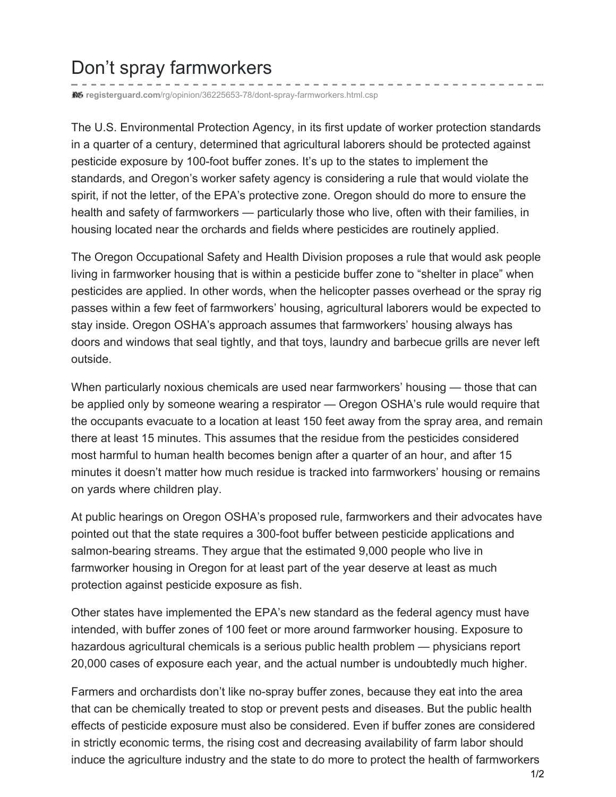## Don't spray farmworkers

**registerguard.com**[/rg/opinion/36225653-78/dont-spray-farmworkers.html.csp](http://registerguard.com/rg/opinion/36225653-78/dont-spray-farmworkers.html.csp)

The U.S. Environmental Protection Agency, in its first update of worker protection standards in a quarter of a century, determined that agricultural laborers should be protected against pesticide exposure by 100-foot buffer zones. It's up to the states to implement the standards, and Oregon's worker safety agency is considering a rule that would violate the spirit, if not the letter, of the EPA's protective zone. Oregon should do more to ensure the health and safety of farmworkers — particularly those who live, often with their families, in housing located near the orchards and fields where pesticides are routinely applied.

The Oregon Occupational Safety and Health Division proposes a rule that would ask people living in farmworker housing that is within a pesticide buffer zone to "shelter in place" when pesticides are applied. In other words, when the helicopter passes overhead or the spray rig passes within a few feet of farmworkers' housing, agricultural laborers would be expected to stay inside. Oregon OSHA's approach assumes that farmworkers' housing always has doors and windows that seal tightly, and that toys, laundry and barbecue grills are never left outside.

When particularly noxious chemicals are used near farmworkers' housing — those that can be applied only by someone wearing a respirator — Oregon OSHA's rule would require that the occupants evacuate to a location at least 150 feet away from the spray area, and remain there at least 15 minutes. This assumes that the residue from the pesticides considered most harmful to human health becomes benign after a quarter of an hour, and after 15 minutes it doesn't matter how much residue is tracked into farmworkers' housing or remains on yards where children play.

At public hearings on Oregon OSHA's proposed rule, farmworkers and their advocates have pointed out that the state requires a 300-foot buffer between pesticide applications and salmon-bearing streams. They argue that the estimated 9,000 people who live in farmworker housing in Oregon for at least part of the year deserve at least as much protection against pesticide exposure as fish.

Other states have implemented the EPA's new standard as the federal agency must have intended, with buffer zones of 100 feet or more around farmworker housing. Exposure to hazardous agricultural chemicals is a serious public health problem — physicians report 20,000 cases of exposure each year, and the actual number is undoubtedly much higher.

Farmers and orchardists don't like no-spray buffer zones, because they eat into the area that can be chemically treated to stop or prevent pests and diseases. But the public health effects of pesticide exposure must also be considered. Even if buffer zones are considered in strictly economic terms, the rising cost and decreasing availability of farm labor should induce the agriculture industry and the state to do more to protect the health of farmworkers